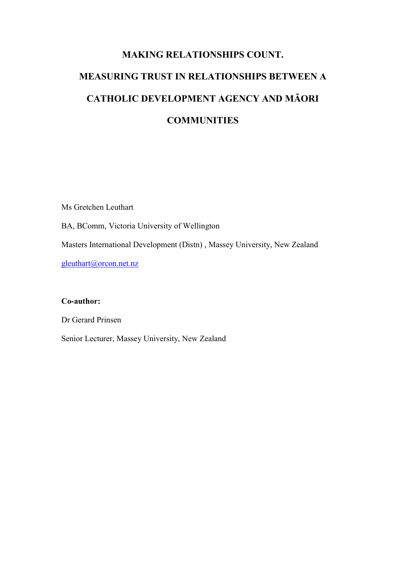# MAKING RELATIONSHIPS COUNT. MEASURING TRUST IN RELATIONSHIPS BETWEEN A CATHOLIC DEVELOPMENT AGENCY AND MĀORI **COMMUNITIES**

Ms Gretchen Leuthart BA, BComm, Victoria University of Wellington

Masters International Development (Distn) , Massey University, New Zealand

gleuthart@orcon.net.nz

#### Co-author:

Dr Gerard Prinsen

Senior Lecturer, Massey University, New Zealand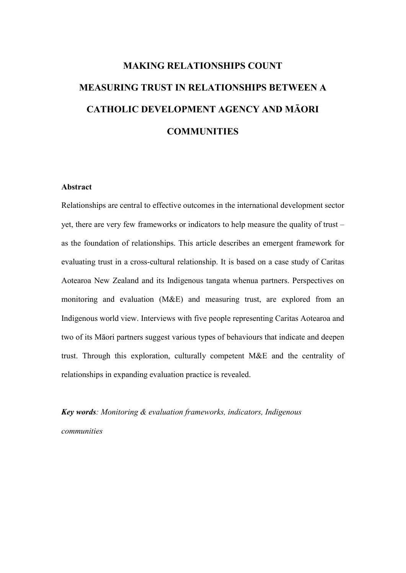# MAKING RELATIONSHIPS COUNT MEASURING TRUST IN RELATIONSHIPS BETWEEN A CATHOLIC DEVELOPMENT AGENCY AND MĀORI **COMMUNITIES**

#### Abstract

Relationships are central to effective outcomes in the international development sector yet, there are very few frameworks or indicators to help measure the quality of trust – as the foundation of relationships. This article describes an emergent framework for evaluating trust in a cross-cultural relationship. It is based on a case study of Caritas Aotearoa New Zealand and its Indigenous tangata whenua partners. Perspectives on monitoring and evaluation (M&E) and measuring trust, are explored from an Indigenous world view. Interviews with five people representing Caritas Aotearoa and two of its Māori partners suggest various types of behaviours that indicate and deepen trust. Through this exploration, culturally competent M&E and the centrality of relationships in expanding evaluation practice is revealed.

Key words: Monitoring & evaluation frameworks, indicators, Indigenous communities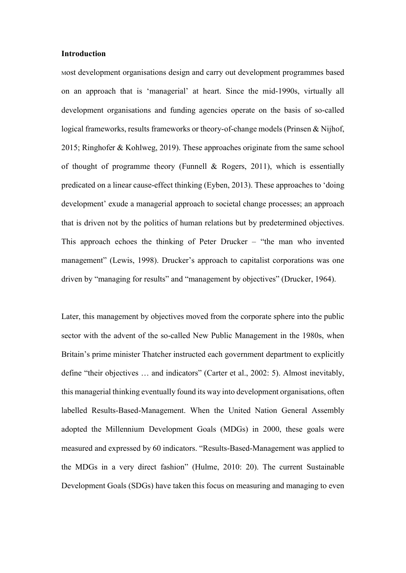#### Introduction

<sup>M</sup>ost development organisations design and carry out development programmes based on an approach that is 'managerial' at heart. Since the mid-1990s, virtually all development organisations and funding agencies operate on the basis of so-called logical frameworks, results frameworks or theory-of-change models (Prinsen & Nijhof, 2015; Ringhofer & Kohlweg, 2019). These approaches originate from the same school of thought of programme theory (Funnell & Rogers, 2011), which is essentially predicated on a linear cause-effect thinking (Eyben, 2013). These approaches to 'doing development' exude a managerial approach to societal change processes; an approach that is driven not by the politics of human relations but by predetermined objectives. This approach echoes the thinking of Peter Drucker – "the man who invented management" (Lewis, 1998). Drucker's approach to capitalist corporations was one driven by "managing for results" and "management by objectives" (Drucker, 1964).

Later, this management by objectives moved from the corporate sphere into the public sector with the advent of the so-called New Public Management in the 1980s, when Britain's prime minister Thatcher instructed each government department to explicitly define "their objectives … and indicators" (Carter et al., 2002: 5). Almost inevitably, this managerial thinking eventually found its way into development organisations, often labelled Results-Based-Management. When the United Nation General Assembly adopted the Millennium Development Goals (MDGs) in 2000, these goals were measured and expressed by 60 indicators. "Results-Based-Management was applied to the MDGs in a very direct fashion" (Hulme, 2010: 20). The current Sustainable Development Goals (SDGs) have taken this focus on measuring and managing to even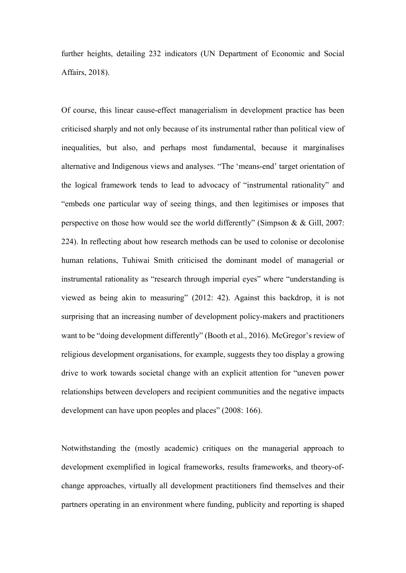further heights, detailing 232 indicators (UN Department of Economic and Social Affairs, 2018).

Of course, this linear cause-effect managerialism in development practice has been criticised sharply and not only because of its instrumental rather than political view of inequalities, but also, and perhaps most fundamental, because it marginalises alternative and Indigenous views and analyses. "The 'means-end' target orientation of the logical framework tends to lead to advocacy of "instrumental rationality" and "embeds one particular way of seeing things, and then legitimises or imposes that perspective on those how would see the world differently" (Simpson & & Gill, 2007: 224). In reflecting about how research methods can be used to colonise or decolonise human relations, Tuhiwai Smith criticised the dominant model of managerial or instrumental rationality as "research through imperial eyes" where "understanding is viewed as being akin to measuring" (2012: 42). Against this backdrop, it is not surprising that an increasing number of development policy-makers and practitioners want to be "doing development differently" (Booth et al., 2016). McGregor's review of religious development organisations, for example, suggests they too display a growing drive to work towards societal change with an explicit attention for "uneven power relationships between developers and recipient communities and the negative impacts development can have upon peoples and places" (2008: 166).

Notwithstanding the (mostly academic) critiques on the managerial approach to development exemplified in logical frameworks, results frameworks, and theory-ofchange approaches, virtually all development practitioners find themselves and their partners operating in an environment where funding, publicity and reporting is shaped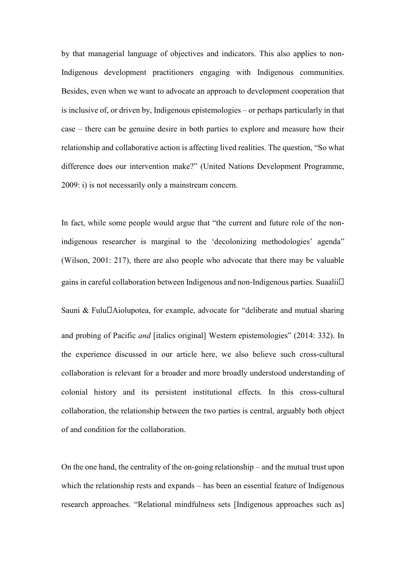by that managerial language of objectives and indicators. This also applies to non-Indigenous development practitioners engaging with Indigenous communities. Besides, even when we want to advocate an approach to development cooperation that is inclusive of, or driven by, Indigenous epistemologies – or perhaps particularly in that case – there can be genuine desire in both parties to explore and measure how their relationship and collaborative action is affecting lived realities. The question, "So what difference does our intervention make?" (United Nations Development Programme, 2009: i) is not necessarily only a mainstream concern.

In fact, while some people would argue that "the current and future role of the nonindigenous researcher is marginal to the 'decolonizing methodologies' agenda" (Wilson, 2001: 217), there are also people who advocate that there may be valuable gains in careful collaboration between Indigenous and non-Indigenous parties. Suaalii $\Box$ 

Sauni & Fulu $\Box$ Aiolupotea, for example, advocate for "deliberate and mutual sharing and probing of Pacific and [italics original] Western epistemologies" (2014: 332). In the experience discussed in our article here, we also believe such cross-cultural collaboration is relevant for a broader and more broadly understood understanding of colonial history and its persistent institutional effects. In this cross-cultural collaboration, the relationship between the two parties is central, arguably both object of and condition for the collaboration.

On the one hand, the centrality of the on-going relationship – and the mutual trust upon which the relationship rests and expands – has been an essential feature of Indigenous research approaches. "Relational mindfulness sets [Indigenous approaches such as]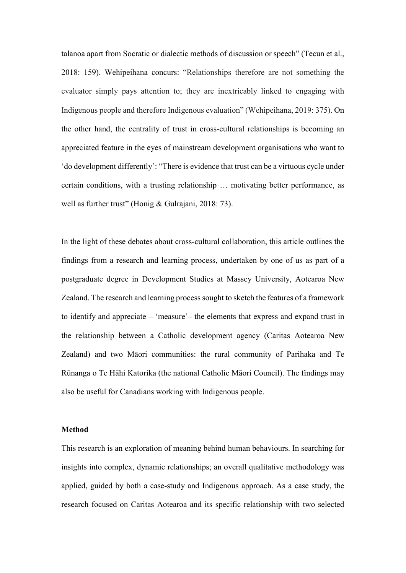talanoa apart from Socratic or dialectic methods of discussion or speech" (Tecun et al., 2018: 159). Wehipeihana concurs: "Relationships therefore are not something the evaluator simply pays attention to; they are inextricably linked to engaging with Indigenous people and therefore Indigenous evaluation" (Wehipeihana, 2019: 375). On the other hand, the centrality of trust in cross-cultural relationships is becoming an appreciated feature in the eyes of mainstream development organisations who want to 'do development differently': "There is evidence that trust can be a virtuous cycle under certain conditions, with a trusting relationship … motivating better performance, as well as further trust" (Honig & Gulrajani, 2018: 73).

In the light of these debates about cross-cultural collaboration, this article outlines the findings from a research and learning process, undertaken by one of us as part of a postgraduate degree in Development Studies at Massey University, Aotearoa New Zealand. The research and learning process sought to sketch the features of a framework to identify and appreciate – 'measure'– the elements that express and expand trust in the relationship between a Catholic development agency (Caritas Aotearoa New Zealand) and two Māori communities: the rural community of Parihaka and Te Rūnanga o Te Hāhi Katorika (the national Catholic Māori Council). The findings may also be useful for Canadians working with Indigenous people.

#### Method

This research is an exploration of meaning behind human behaviours. In searching for insights into complex, dynamic relationships; an overall qualitative methodology was applied, guided by both a case-study and Indigenous approach. As a case study, the research focused on Caritas Aotearoa and its specific relationship with two selected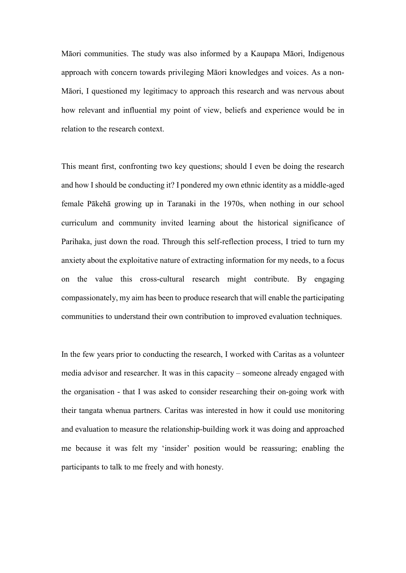Māori communities. The study was also informed by a Kaupapa Māori, Indigenous approach with concern towards privileging Māori knowledges and voices. As a non-Māori, I questioned my legitimacy to approach this research and was nervous about how relevant and influential my point of view, beliefs and experience would be in relation to the research context.

This meant first, confronting two key questions; should I even be doing the research and how I should be conducting it? I pondered my own ethnic identity as a middle-aged female Pākehā growing up in Taranaki in the 1970s, when nothing in our school curriculum and community invited learning about the historical significance of Parihaka, just down the road. Through this self-reflection process, I tried to turn my anxiety about the exploitative nature of extracting information for my needs, to a focus on the value this cross-cultural research might contribute. By engaging compassionately, my aim has been to produce research that will enable the participating communities to understand their own contribution to improved evaluation techniques.

In the few years prior to conducting the research, I worked with Caritas as a volunteer media advisor and researcher. It was in this capacity – someone already engaged with the organisation - that I was asked to consider researching their on-going work with their tangata whenua partners. Caritas was interested in how it could use monitoring and evaluation to measure the relationship-building work it was doing and approached me because it was felt my 'insider' position would be reassuring; enabling the participants to talk to me freely and with honesty.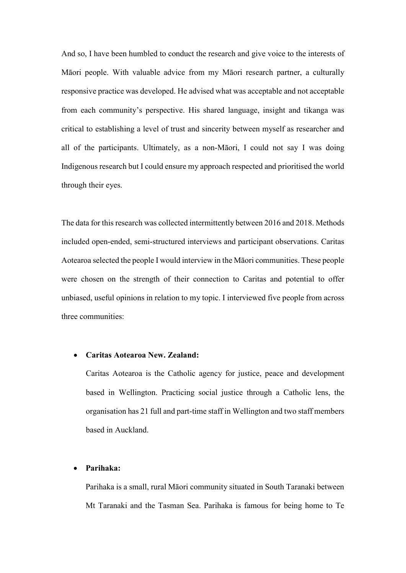And so, I have been humbled to conduct the research and give voice to the interests of Māori people. With valuable advice from my Māori research partner, a culturally responsive practice was developed. He advised what was acceptable and not acceptable from each community's perspective. His shared language, insight and tikanga was critical to establishing a level of trust and sincerity between myself as researcher and all of the participants. Ultimately, as a non-Māori, I could not say I was doing Indigenous research but I could ensure my approach respected and prioritised the world through their eyes.

The data for this research was collected intermittently between 2016 and 2018. Methods included open-ended, semi-structured interviews and participant observations. Caritas Aotearoa selected the people I would interview in the Māori communities. These people were chosen on the strength of their connection to Caritas and potential to offer unbiased, useful opinions in relation to my topic. I interviewed five people from across three communities:

#### Caritas Aotearoa New. Zealand:

Caritas Aotearoa is the Catholic agency for justice, peace and development based in Wellington. Practicing social justice through a Catholic lens, the organisation has 21 full and part-time staff in Wellington and two staff members based in Auckland.

#### Parihaka:

Parihaka is a small, rural Māori community situated in South Taranaki between Mt Taranaki and the Tasman Sea. Parihaka is famous for being home to Te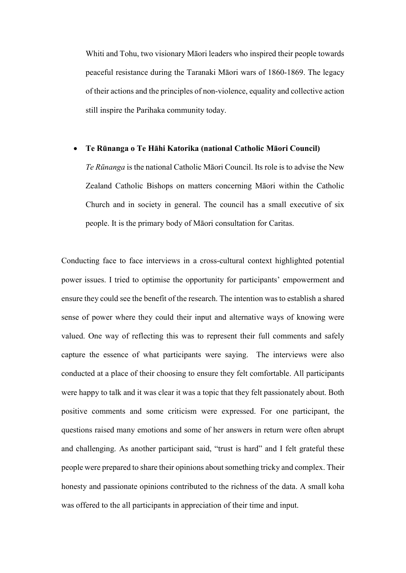Whiti and Tohu, two visionary Māori leaders who inspired their people towards peaceful resistance during the Taranaki Māori wars of 1860-1869. The legacy of their actions and the principles of non-violence, equality and collective action still inspire the Parihaka community today.

#### Te Rūnanga o Te Hāhi Katorika (national Catholic Māori Council)

Te Rūnanga is the national Catholic Māori Council. Its role is to advise the New Zealand Catholic Bishops on matters concerning Māori within the Catholic Church and in society in general. The council has a small executive of six people. It is the primary body of Māori consultation for Caritas.

Conducting face to face interviews in a cross-cultural context highlighted potential power issues. I tried to optimise the opportunity for participants' empowerment and ensure they could see the benefit of the research. The intention was to establish a shared sense of power where they could their input and alternative ways of knowing were valued. One way of reflecting this was to represent their full comments and safely capture the essence of what participants were saying. The interviews were also conducted at a place of their choosing to ensure they felt comfortable. All participants were happy to talk and it was clear it was a topic that they felt passionately about. Both positive comments and some criticism were expressed. For one participant, the questions raised many emotions and some of her answers in return were often abrupt and challenging. As another participant said, "trust is hard" and I felt grateful these people were prepared to share their opinions about something tricky and complex. Their honesty and passionate opinions contributed to the richness of the data. A small koha was offered to the all participants in appreciation of their time and input.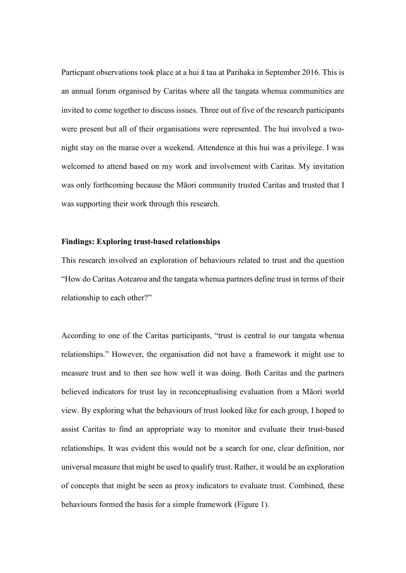Particpant observations took place at a hui ā tau at Parihaka in September 2016. This is an annual forum organised by Caritas where all the tangata whenua communities are invited to come together to discuss issues. Three out of five of the research participants were present but all of their organisations were represented. The hui involved a twonight stay on the marae over a weekend. Attendence at this hui was a privilege. I was welcomed to attend based on my work and involvement with Caritas. My invitation was only forthcoming because the Māori community trusted Caritas and trusted that I was supporting their work through this research.

#### Findings: Exploring trust-based relationships

This research involved an exploration of behaviours related to trust and the question "How do Caritas Aotearoa and the tangata whenua partners define trust in terms of their relationship to each other?"

According to one of the Caritas participants, "trust is central to our tangata whenua relationships." However, the organisation did not have a framework it might use to measure trust and to then see how well it was doing. Both Caritas and the partners believed indicators for trust lay in reconceptualising evaluation from a Māori world view. By exploring what the behaviours of trust looked like for each group, I hoped to assist Caritas to find an appropriate way to monitor and evaluate their trust-based relationships. It was evident this would not be a search for one, clear definition, nor universal measure that might be used to qualify trust. Rather, it would be an exploration of concepts that might be seen as proxy indicators to evaluate trust. Combined, these behaviours formed the basis for a simple framework (Figure 1).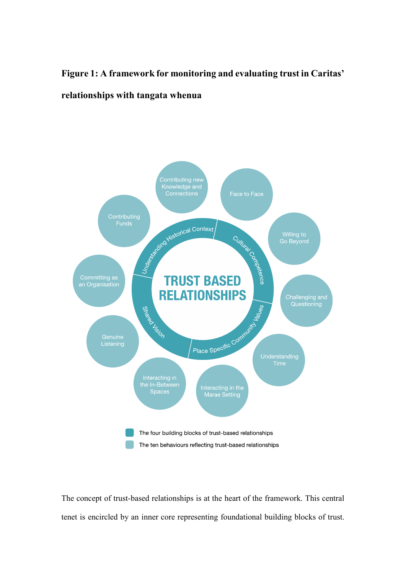### Figure 1: A framework for monitoring and evaluating trust in Caritas' relationships with tangata whenua



The concept of trust-based relationships is at the heart of the framework. This central tenet is encircled by an inner core representing foundational building blocks of trust.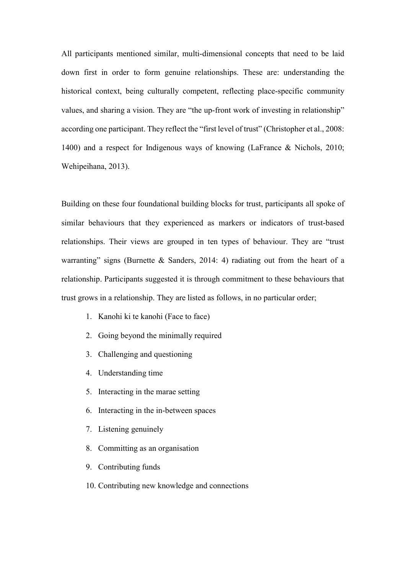All participants mentioned similar, multi-dimensional concepts that need to be laid down first in order to form genuine relationships. These are: understanding the historical context, being culturally competent, reflecting place-specific community values, and sharing a vision. They are "the up-front work of investing in relationship" according one participant. They reflect the "first level of trust" (Christopher et al., 2008: 1400) and a respect for Indigenous ways of knowing (LaFrance & Nichols, 2010; Wehipeihana, 2013).

Building on these four foundational building blocks for trust, participants all spoke of similar behaviours that they experienced as markers or indicators of trust-based relationships. Their views are grouped in ten types of behaviour. They are "trust warranting" signs (Burnette & Sanders, 2014: 4) radiating out from the heart of a relationship. Participants suggested it is through commitment to these behaviours that trust grows in a relationship. They are listed as follows, in no particular order;

- 1. Kanohi ki te kanohi (Face to face)
- 2. Going beyond the minimally required
- 3. Challenging and questioning
- 4. Understanding time
- 5. Interacting in the marae setting
- 6. Interacting in the in-between spaces
- 7. Listening genuinely
- 8. Committing as an organisation
- 9. Contributing funds
- 10. Contributing new knowledge and connections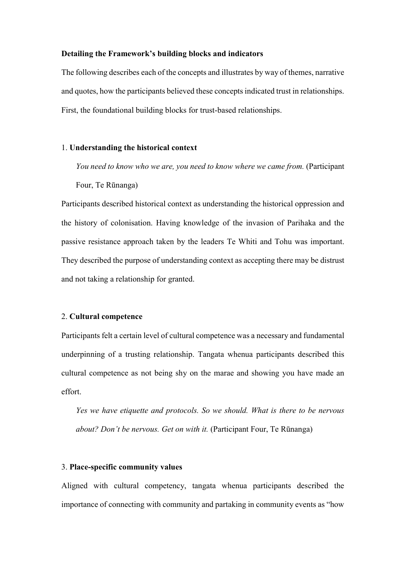#### Detailing the Framework's building blocks and indicators

The following describes each of the concepts and illustrates by way of themes, narrative and quotes, how the participants believed these concepts indicated trust in relationships. First, the foundational building blocks for trust-based relationships.

#### 1. Understanding the historical context

You need to know who we are, you need to know where we came from. (Participant Four, Te Rūnanga)

Participants described historical context as understanding the historical oppression and the history of colonisation. Having knowledge of the invasion of Parihaka and the passive resistance approach taken by the leaders Te Whiti and Tohu was important. They described the purpose of understanding context as accepting there may be distrust and not taking a relationship for granted.

#### 2. Cultural competence

Participants felt a certain level of cultural competence was a necessary and fundamental underpinning of a trusting relationship. Tangata whenua participants described this cultural competence as not being shy on the marae and showing you have made an effort.

Yes we have etiquette and protocols. So we should. What is there to be nervous about? Don't be nervous. Get on with it. (Participant Four, Te Rūnanga)

#### 3. Place-specific community values

Aligned with cultural competency, tangata whenua participants described the importance of connecting with community and partaking in community events as "how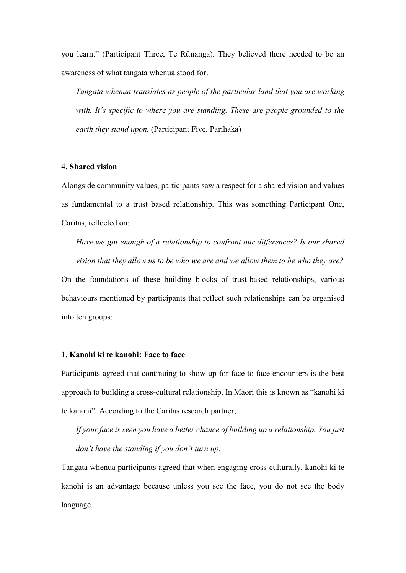you learn." (Participant Three, Te Rūnanga). They believed there needed to be an awareness of what tangata whenua stood for.

Tangata whenua translates as people of the particular land that you are working with. It's specific to where you are standing. These are people grounded to the earth they stand upon. (Participant Five, Parihaka)

#### 4. Shared vision

Alongside community values, participants saw a respect for a shared vision and values as fundamental to a trust based relationship. This was something Participant One, Caritas, reflected on:

Have we got enough of a relationship to confront our differences? Is our shared vision that they allow us to be who we are and we allow them to be who they are? On the foundations of these building blocks of trust-based relationships, various behaviours mentioned by participants that reflect such relationships can be organised into ten groups:

#### 1. Kanohi ki te kanohi: Face to face

Participants agreed that continuing to show up for face to face encounters is the best approach to building a cross-cultural relationship. In Māori this is known as "kanohi ki te kanohi". According to the Caritas research partner;

If your face is seen you have a better chance of building up a relationship. You just don't have the standing if you don't turn up.

Tangata whenua participants agreed that when engaging cross-culturally, kanohi ki te kanohi is an advantage because unless you see the face, you do not see the body language.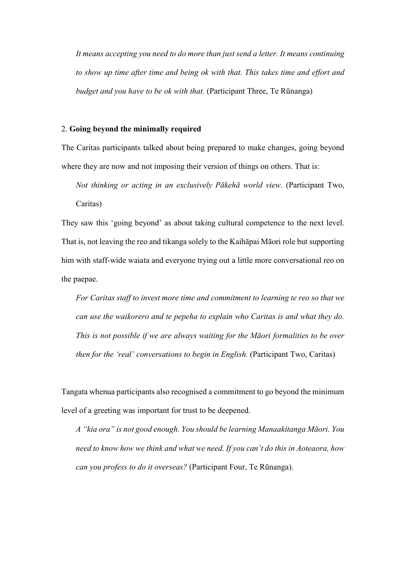It means accepting you need to do more than just send a letter. It means continuing to show up time after time and being ok with that. This takes time and effort and budget and you have to be ok with that. (Participant Three, Te Rūnanga)

#### 2. Going beyond the minimally required

The Caritas participants talked about being prepared to make changes, going beyond where they are now and not imposing their version of things on others. That is:

Not thinking or acting in an exclusively Pākehā world view. (Participant Two, Caritas)

They saw this 'going beyond' as about taking cultural competence to the next level. That is, not leaving the reo and tikanga solely to the Kaihāpai Māori role but supporting him with staff-wide waiata and everyone trying out a little more conversational reo on the paepae.

For Caritas staff to invest more time and commitment to learning te reo so that we can use the waikorero and te pepeha to explain who Caritas is and what they do. This is not possible if we are always waiting for the Māori formalities to be over then for the 'real' conversations to begin in English. (Participant Two, Caritas)

Tangata whenua participants also recognised a commitment to go beyond the minimum level of a greeting was important for trust to be deepened.

A "kia ora" is not good enough. You should be learning Manaakitanga Māori. You need to know how we think and what we need. If you can't do this in Aoteaora, how can you profess to do it overseas? (Participant Four, Te Rūnanga).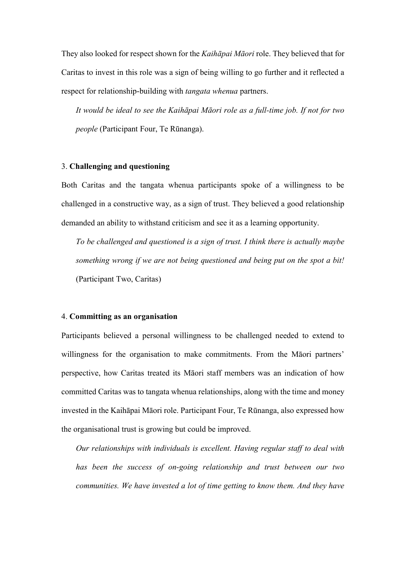They also looked for respect shown for the Kaihāpai Māori role. They believed that for Caritas to invest in this role was a sign of being willing to go further and it reflected a respect for relationship-building with *tangata whenua* partners.

It would be ideal to see the Kaihāpai Māori role as a full-time job. If not for two people (Participant Four, Te Rūnanga).

#### 3. Challenging and questioning

Both Caritas and the tangata whenua participants spoke of a willingness to be challenged in a constructive way, as a sign of trust. They believed a good relationship demanded an ability to withstand criticism and see it as a learning opportunity.

To be challenged and questioned is a sign of trust. I think there is actually maybe something wrong if we are not being questioned and being put on the spot a bit! (Participant Two, Caritas)

#### 4. Committing as an organisation

Participants believed a personal willingness to be challenged needed to extend to willingness for the organisation to make commitments. From the Māori partners' perspective, how Caritas treated its Māori staff members was an indication of how committed Caritas was to tangata whenua relationships, along with the time and money invested in the Kaihāpai Māori role. Participant Four, Te Rūnanga, also expressed how the organisational trust is growing but could be improved.

Our relationships with individuals is excellent. Having regular staff to deal with has been the success of on-going relationship and trust between our two communities. We have invested a lot of time getting to know them. And they have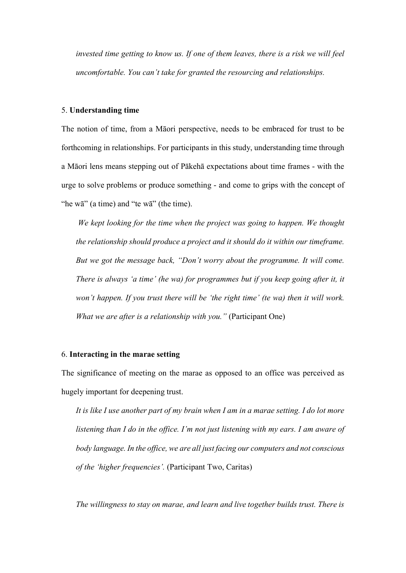invested time getting to know us. If one of them leaves, there is a risk we will feel uncomfortable. You can't take for granted the resourcing and relationships.

#### 5. Understanding time

The notion of time, from a Māori perspective, needs to be embraced for trust to be forthcoming in relationships. For participants in this study, understanding time through a Māori lens means stepping out of Pākehā expectations about time frames - with the urge to solve problems or produce something - and come to grips with the concept of "he wā" (a time) and "te wā" (the time).

We kept looking for the time when the project was going to happen. We thought the relationship should produce a project and it should do it within our timeframe. But we got the message back, "Don't worry about the programme. It will come. There is always 'a time' (he wa) for programmes but if you keep going after it, it won't happen. If you trust there will be 'the right time' (te wa) then it will work. What we are after is a relationship with you." (Participant One)

#### 6. Interacting in the marae setting

The significance of meeting on the marae as opposed to an office was perceived as hugely important for deepening trust.

It is like I use another part of my brain when I am in a marae setting. I do lot more listening than I do in the office. I'm not just listening with my ears. I am aware of body language. In the office, we are all just facing our computers and not conscious of the 'higher frequencies'. (Participant Two, Caritas)

The willingness to stay on marae, and learn and live together builds trust. There is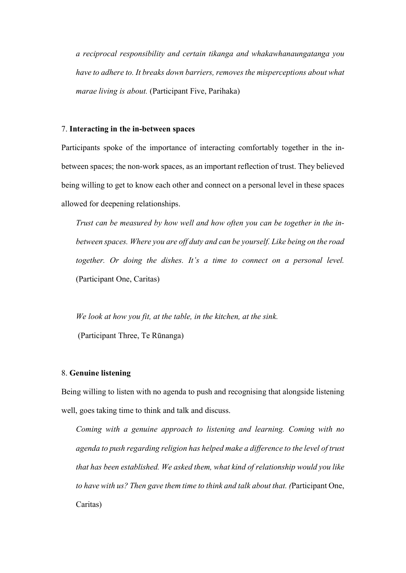a reciprocal responsibility and certain tikanga and whakawhanaungatanga you have to adhere to. It breaks down barriers, removes the misperceptions about what marae living is about. (Participant Five, Parihaka)

#### 7. Interacting in the in-between spaces

Participants spoke of the importance of interacting comfortably together in the inbetween spaces; the non-work spaces, as an important reflection of trust. They believed being willing to get to know each other and connect on a personal level in these spaces allowed for deepening relationships.

Trust can be measured by how well and how often you can be together in the inbetween spaces. Where you are off duty and can be yourself. Like being on the road together. Or doing the dishes. It's a time to connect on a personal level. (Participant One, Caritas)

We look at how you fit, at the table, in the kitchen, at the sink. (Participant Three, Te Rūnanga)

#### 8. Genuine listening

Being willing to listen with no agenda to push and recognising that alongside listening well, goes taking time to think and talk and discuss.

Coming with a genuine approach to listening and learning. Coming with no agenda to push regarding religion has helped make a difference to the level of trust that has been established. We asked them, what kind of relationship would you like to have with us? Then gave them time to think and talk about that. (Participant One, Caritas)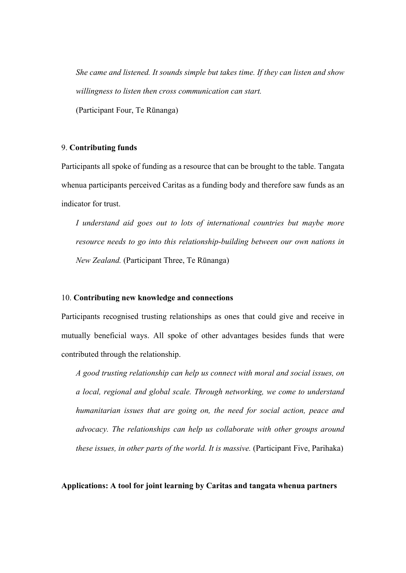She came and listened. It sounds simple but takes time. If they can listen and show willingness to listen then cross communication can start.

(Participant Four, Te Rūnanga)

#### 9. Contributing funds

Participants all spoke of funding as a resource that can be brought to the table. Tangata whenua participants perceived Caritas as a funding body and therefore saw funds as an indicator for trust.

I understand aid goes out to lots of international countries but maybe more resource needs to go into this relationship-building between our own nations in New Zealand. (Participant Three, Te Rūnanga)

#### 10. Contributing new knowledge and connections

Participants recognised trusting relationships as ones that could give and receive in mutually beneficial ways. All spoke of other advantages besides funds that were contributed through the relationship.

A good trusting relationship can help us connect with moral and social issues, on a local, regional and global scale. Through networking, we come to understand humanitarian issues that are going on, the need for social action, peace and advocacy. The relationships can help us collaborate with other groups around these issues, in other parts of the world. It is massive. (Participant Five, Parihaka)

Applications: A tool for joint learning by Caritas and tangata whenua partners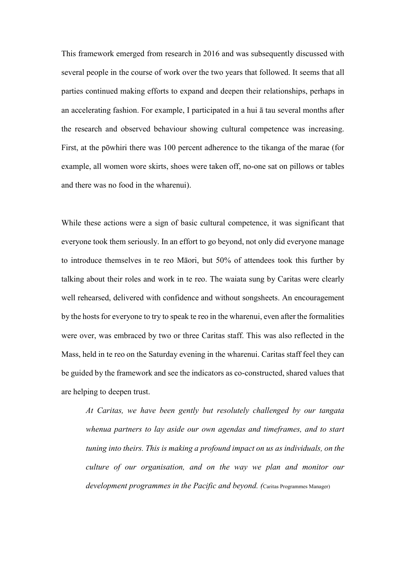This framework emerged from research in 2016 and was subsequently discussed with several people in the course of work over the two years that followed. It seems that all parties continued making efforts to expand and deepen their relationships, perhaps in an accelerating fashion. For example, I participated in a hui ā tau several months after the research and observed behaviour showing cultural competence was increasing. First, at the pōwhiri there was 100 percent adherence to the tikanga of the marae (for example, all women wore skirts, shoes were taken off, no-one sat on pillows or tables and there was no food in the wharenui).

While these actions were a sign of basic cultural competence, it was significant that everyone took them seriously. In an effort to go beyond, not only did everyone manage to introduce themselves in te reo Māori, but 50% of attendees took this further by talking about their roles and work in te reo. The waiata sung by Caritas were clearly well rehearsed, delivered with confidence and without songsheets. An encouragement by the hosts for everyone to try to speak te reo in the wharenui, even after the formalities were over, was embraced by two or three Caritas staff. This was also reflected in the Mass, held in te reo on the Saturday evening in the wharenui. Caritas staff feel they can be guided by the framework and see the indicators as co-constructed, shared values that are helping to deepen trust.

At Caritas, we have been gently but resolutely challenged by our tangata whenua partners to lay aside our own agendas and timeframes, and to start tuning into theirs. This is making a profound impact on us as individuals, on the culture of our organisation, and on the way we plan and monitor our development programmes in the Pacific and beyond. (Caritas Programmes Manager)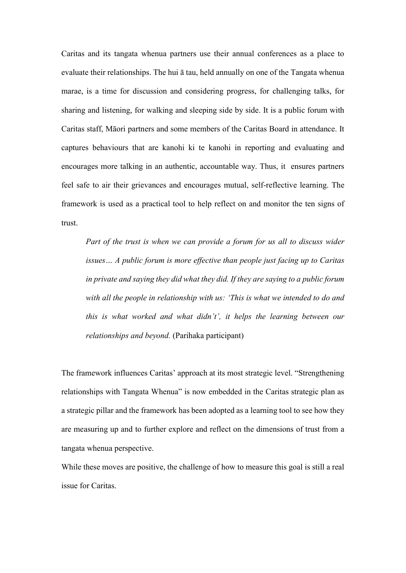Caritas and its tangata whenua partners use their annual conferences as a place to evaluate their relationships. The hui ā tau, held annually on one of the Tangata whenua marae, is a time for discussion and considering progress, for challenging talks, for sharing and listening, for walking and sleeping side by side. It is a public forum with Caritas staff, Māori partners and some members of the Caritas Board in attendance. It captures behaviours that are kanohi ki te kanohi in reporting and evaluating and encourages more talking in an authentic, accountable way. Thus, it ensures partners feel safe to air their grievances and encourages mutual, self-reflective learning. The framework is used as a practical tool to help reflect on and monitor the ten signs of trust.

Part of the trust is when we can provide a forum for us all to discuss wider issues… A public forum is more effective than people just facing up to Caritas in private and saying they did what they did. If they are saying to a public forum with all the people in relationship with us: 'This is what we intended to do and this is what worked and what didn't', it helps the learning between our relationships and beyond. (Parihaka participant)

The framework influences Caritas' approach at its most strategic level. "Strengthening relationships with Tangata Whenua" is now embedded in the Caritas strategic plan as a strategic pillar and the framework has been adopted as a learning tool to see how they are measuring up and to further explore and reflect on the dimensions of trust from a tangata whenua perspective.

While these moves are positive, the challenge of how to measure this goal is still a real issue for Caritas.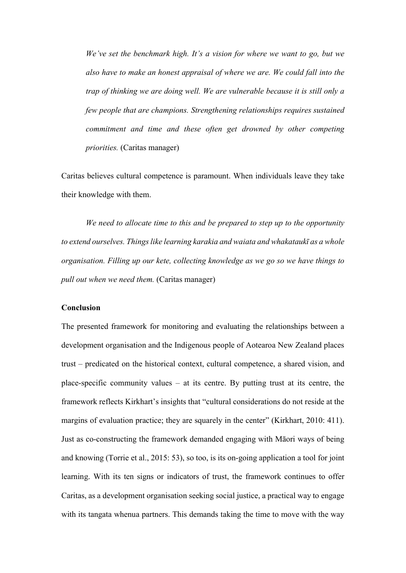We've set the benchmark high. It's a vision for where we want to go, but we also have to make an honest appraisal of where we are. We could fall into the trap of thinking we are doing well. We are vulnerable because it is still only a few people that are champions. Strengthening relationships requires sustained commitment and time and these often get drowned by other competing priorities. (Caritas manager)

Caritas believes cultural competence is paramount. When individuals leave they take their knowledge with them.

We need to allocate time to this and be prepared to step up to the opportunity to extend ourselves. Things like learning karakia and waiata and whakataukī as a whole organisation. Filling up our kete, collecting knowledge as we go so we have things to pull out when we need them. (Caritas manager)

#### Conclusion

The presented framework for monitoring and evaluating the relationships between a development organisation and the Indigenous people of Aotearoa New Zealand places trust – predicated on the historical context, cultural competence, a shared vision, and place-specific community values – at its centre. By putting trust at its centre, the framework reflects Kirkhart's insights that "cultural considerations do not reside at the margins of evaluation practice; they are squarely in the center" (Kirkhart, 2010: 411). Just as co-constructing the framework demanded engaging with Māori ways of being and knowing (Torrie et al., 2015: 53), so too, is its on-going application a tool for joint learning. With its ten signs or indicators of trust, the framework continues to offer Caritas, as a development organisation seeking social justice, a practical way to engage with its tangata whenua partners. This demands taking the time to move with the way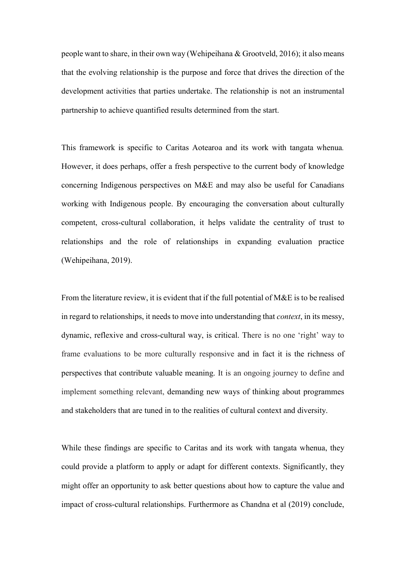people want to share, in their own way (Wehipeihana & Grootveld, 2016); it also means that the evolving relationship is the purpose and force that drives the direction of the development activities that parties undertake. The relationship is not an instrumental partnership to achieve quantified results determined from the start.

This framework is specific to Caritas Aotearoa and its work with tangata whenua. However, it does perhaps, offer a fresh perspective to the current body of knowledge concerning Indigenous perspectives on M&E and may also be useful for Canadians working with Indigenous people. By encouraging the conversation about culturally competent, cross-cultural collaboration, it helps validate the centrality of trust to relationships and the role of relationships in expanding evaluation practice (Wehipeihana, 2019).

From the literature review, it is evident that if the full potential of M&E is to be realised in regard to relationships, it needs to move into understanding that context, in its messy, dynamic, reflexive and cross-cultural way, is critical. There is no one 'right' way to frame evaluations to be more culturally responsive and in fact it is the richness of perspectives that contribute valuable meaning. It is an ongoing journey to define and implement something relevant, demanding new ways of thinking about programmes and stakeholders that are tuned in to the realities of cultural context and diversity.

While these findings are specific to Caritas and its work with tangata whenua, they could provide a platform to apply or adapt for different contexts. Significantly, they might offer an opportunity to ask better questions about how to capture the value and impact of cross-cultural relationships. Furthermore as Chandna et al (2019) conclude,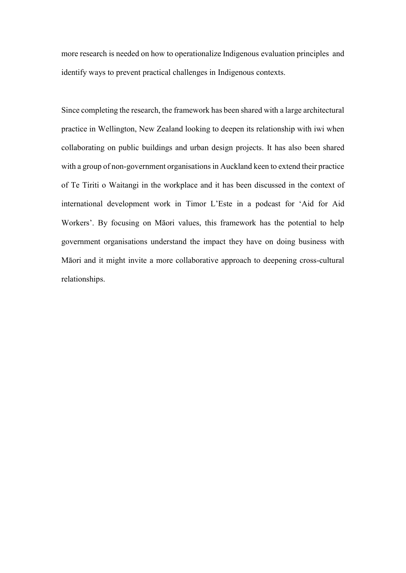more research is needed on how to operationalize Indigenous evaluation principles and identify ways to prevent practical challenges in Indigenous contexts.

Since completing the research, the framework has been shared with a large architectural practice in Wellington, New Zealand looking to deepen its relationship with iwi when collaborating on public buildings and urban design projects. It has also been shared with a group of non-government organisations in Auckland keen to extend their practice of Te Tiriti o Waitangi in the workplace and it has been discussed in the context of international development work in Timor L'Este in a podcast for 'Aid for Aid Workers'. By focusing on Māori values, this framework has the potential to help government organisations understand the impact they have on doing business with Māori and it might invite a more collaborative approach to deepening cross-cultural relationships.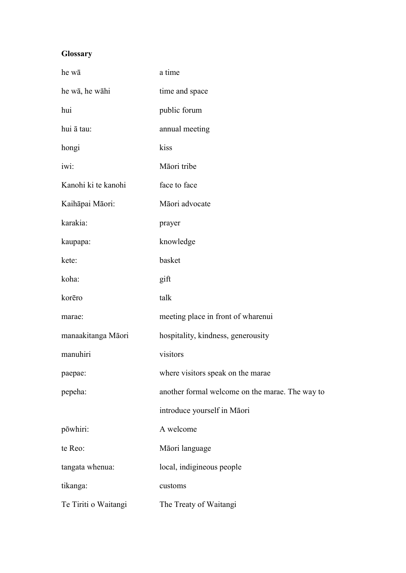### **Glossary**

| he wā                | a time                                          |
|----------------------|-------------------------------------------------|
| he wā, he wāhi       | time and space                                  |
| hui                  | public forum                                    |
| hui ā tau:           | annual meeting                                  |
| hongi                | kiss                                            |
| iwi:                 | Māori tribe                                     |
| Kanohi ki te kanohi  | face to face                                    |
| Kaihāpai Māori:      | Māori advocate                                  |
| karakia:             | prayer                                          |
| kaupapa:             | knowledge                                       |
| kete:                | basket                                          |
| koha:                | gift                                            |
| korēro               | talk                                            |
| marae:               | meeting place in front of wharenui              |
| manaakitanga Māori   | hospitality, kindness, generousity              |
| manuhiri             | visitors                                        |
| paepae:              | where visitors speak on the marae               |
| pepeha:              | another formal welcome on the marae. The way to |
|                      | introduce yourself in Māori                     |
| pōwhiri:             | A welcome                                       |
| te Reo:              | Māori language                                  |
| tangata whenua:      | local, indigineous people                       |
| tikanga:             | customs                                         |
| Te Tiriti o Waitangi | The Treaty of Waitangi                          |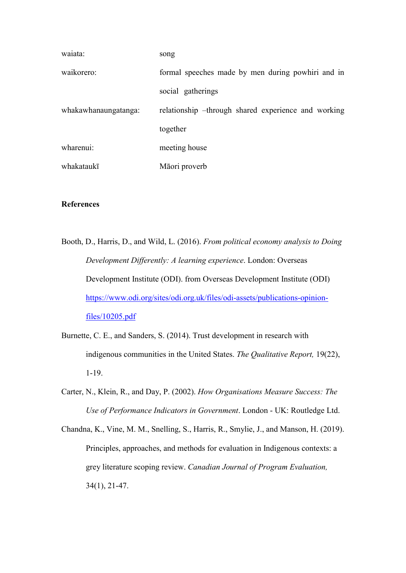| waiata:              | song                                                |
|----------------------|-----------------------------------------------------|
| waikorero:           | formal speeches made by men during powhiri and in   |
|                      | social gatherings                                   |
| whakawhanaungatanga: | relationship -through shared experience and working |
|                      | together                                            |
| wharenui:            | meeting house                                       |
| whakataukī           | Māori proverb                                       |

#### References

- Booth, D., Harris, D., and Wild, L. (2016). From political economy analysis to Doing Development Differently: A learning experience. London: Overseas Development Institute (ODI). from Overseas Development Institute (ODI) https://www.odi.org/sites/odi.org.uk/files/odi-assets/publications-opinionfiles/10205.pdf
- Burnette, C. E., and Sanders, S. (2014). Trust development in research with indigenous communities in the United States. The Qualitative Report, 19(22), 1-19.
- Carter, N., Klein, R., and Day, P. (2002). How Organisations Measure Success: The Use of Performance Indicators in Government. London - UK: Routledge Ltd.
- Chandna, K., Vine, M. M., Snelling, S., Harris, R., Smylie, J., and Manson, H. (2019). Principles, approaches, and methods for evaluation in Indigenous contexts: a grey literature scoping review. Canadian Journal of Program Evaluation, 34(1), 21-47.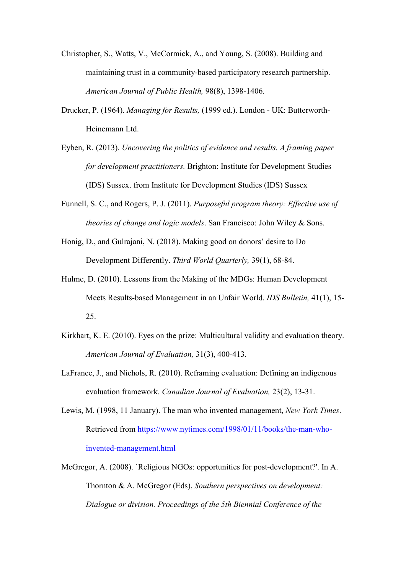- Christopher, S., Watts, V., McCormick, A., and Young, S. (2008). Building and maintaining trust in a community-based participatory research partnership. American Journal of Public Health, 98(8), 1398-1406.
- Drucker, P. (1964). Managing for Results, (1999 ed.). London UK: Butterworth-Heinemann Ltd.
- Eyben, R. (2013). Uncovering the politics of evidence and results. A framing paper for development practitioners. Brighton: Institute for Development Studies (IDS) Sussex. from Institute for Development Studies (IDS) Sussex
- Funnell, S. C., and Rogers, P. J. (2011). Purposeful program theory: Effective use of theories of change and logic models. San Francisco: John Wiley & Sons.
- Honig, D., and Gulrajani, N. (2018). Making good on donors' desire to Do Development Differently. Third World Quarterly, 39(1), 68-84.
- Hulme, D. (2010). Lessons from the Making of the MDGs: Human Development Meets Results-based Management in an Unfair World. IDS Bulletin, 41(1), 15- 25.
- Kirkhart, K. E. (2010). Eyes on the prize: Multicultural validity and evaluation theory. American Journal of Evaluation, 31(3), 400-413.
- LaFrance, J., and Nichols, R. (2010). Reframing evaluation: Defining an indigenous evaluation framework. Canadian Journal of Evaluation, 23(2), 13-31.
- Lewis, M. (1998, 11 January). The man who invented management, New York Times. Retrieved from https://www.nytimes.com/1998/01/11/books/the-man-whoinvented-management.html
- McGregor, A. (2008). `Religious NGOs: opportunities for post-development?'. In A. Thornton & A. McGregor (Eds), Southern perspectives on development: Dialogue or division. Proceedings of the 5th Biennial Conference of the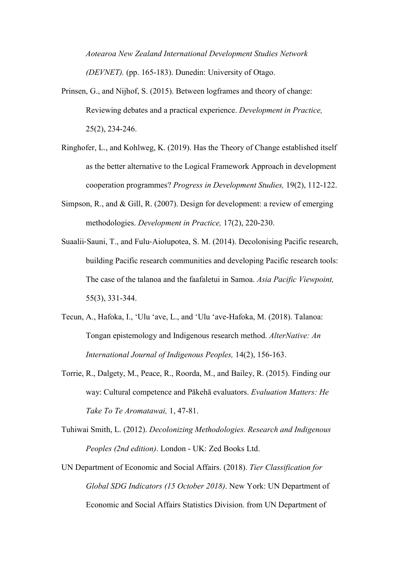Aotearoa New Zealand International Development Studies Network (DEVNET). (pp. 165-183). Dunedin: University of Otago.

- Prinsen, G., and Nijhof, S. (2015). Between logframes and theory of change: Reviewing debates and a practical experience. Development in Practice, 25(2), 234-246.
- Ringhofer, L., and Kohlweg, K. (2019). Has the Theory of Change established itself as the better alternative to the Logical Framework Approach in development cooperation programmes? Progress in Development Studies, 19(2), 112-122.
- Simpson, R., and & Gill, R. (2007). Design for development: a review of emerging methodologies. Development in Practice, 17(2), 220-230.
- Suaalii‐Sauni, T., and Fulu‐Aiolupotea, S. M. (2014). Decolonising Pacific research, building Pacific research communities and developing Pacific research tools: The case of the talanoa and the faafaletui in Samoa. Asia Pacific Viewpoint, 55(3), 331-344.
- Tecun, A., Hafoka, I., 'Ulu 'ave, L., and 'Ulu 'ave-Hafoka, M. (2018). Talanoa: Tongan epistemology and Indigenous research method. AlterNative: An International Journal of Indigenous Peoples, 14(2), 156-163.
- Torrie, R., Dalgety, M., Peace, R., Roorda, M., and Bailey, R. (2015). Finding our way: Cultural competence and Pākehā evaluators. Evaluation Matters: He Take To Te Aromatawai, 1, 47-81.
- Tuhiwai Smith, L. (2012). Decolonizing Methodologies. Research and Indigenous Peoples (2nd edition). London - UK: Zed Books Ltd.
- UN Department of Economic and Social Affairs. (2018). Tier Classification for Global SDG Indicators (15 October 2018). New York: UN Department of Economic and Social Affairs Statistics Division. from UN Department of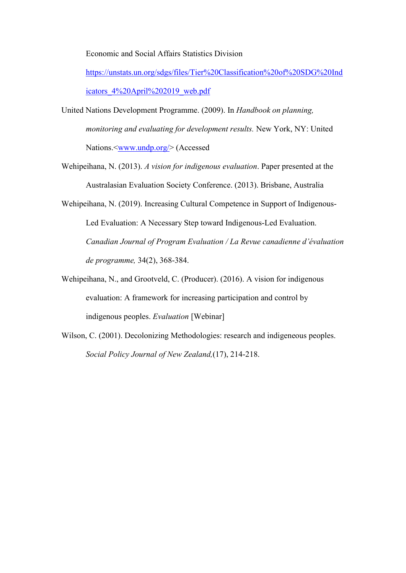Economic and Social Affairs Statistics Division

https://unstats.un.org/sdgs/files/Tier%20Classification%20of%20SDG%20Ind icators 4%20April%202019\_web.pdf

- United Nations Development Programme. (2009). In Handbook on planning, monitoring and evaluating for development results. New York, NY: United Nations.<<u>www.undp.org</u>/>(Accessed
- Wehipeihana, N. (2013). A vision for indigenous evaluation. Paper presented at the Australasian Evaluation Society Conference. (2013). Brisbane, Australia
- Wehipeihana, N. (2019). Increasing Cultural Competence in Support of Indigenous-Led Evaluation: A Necessary Step toward Indigenous-Led Evaluation. Canadian Journal of Program Evaluation / La Revue canadienne d'évaluation de programme, 34(2), 368-384.
- Wehipeihana, N., and Grootveld, C. (Producer). (2016). A vision for indigenous evaluation: A framework for increasing participation and control by indigenous peoples. Evaluation [Webinar]
- Wilson, C. (2001). Decolonizing Methodologies: research and indigeneous peoples. Social Policy Journal of New Zealand,(17), 214-218.